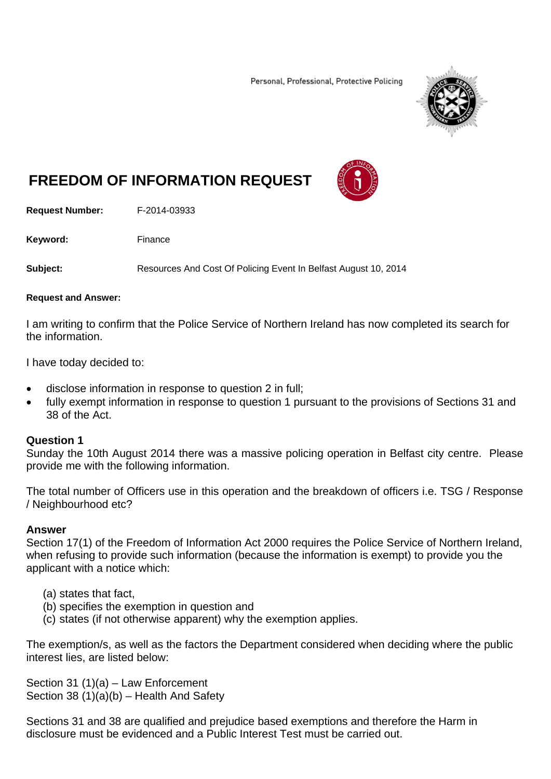Personal, Professional, Protective Policing



# **FREEDOM OF INFORMATION REQUEST**

**Request Number:** F-2014-03933

Keyword: Finance

**Subject:** Resources And Cost Of Policing Event In Belfast August 10, 2014

#### **Request and Answer:**

I am writing to confirm that the Police Service of Northern Ireland has now completed its search for the information.

I have today decided to:

- disclose information in response to question 2 in full;
- fully exempt information in response to question 1 pursuant to the provisions of Sections 31 and 38 of the Act.

#### **Question 1**

Sunday the 10th August 2014 there was a massive policing operation in Belfast city centre. Please provide me with the following information.

The total number of Officers use in this operation and the breakdown of officers i.e. TSG / Response / Neighbourhood etc?

#### **Answer**

Section 17(1) of the Freedom of Information Act 2000 requires the Police Service of Northern Ireland, when refusing to provide such information (because the information is exempt) to provide you the applicant with a notice which:

- (a) states that fact,
- (b) specifies the exemption in question and
- (c) states (if not otherwise apparent) why the exemption applies.

The exemption/s, as well as the factors the Department considered when deciding where the public interest lies, are listed below:

Section 31 (1)(a) – Law Enforcement Section 38 (1)(a)(b) – Health And Safety

Sections 31 and 38 are qualified and prejudice based exemptions and therefore the Harm in disclosure must be evidenced and a Public Interest Test must be carried out.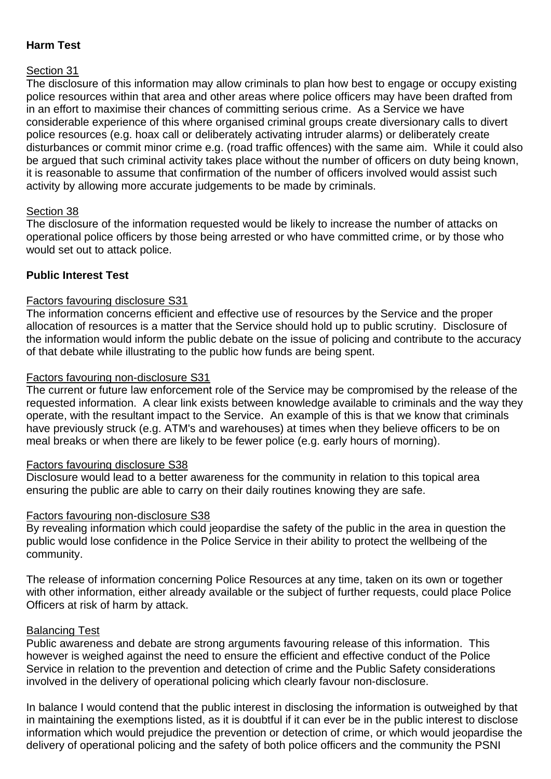# **Harm Test**

## Section 31

The disclosure of this information may allow criminals to plan how best to engage or occupy existing police resources within that area and other areas where police officers may have been drafted from in an effort to maximise their chances of committing serious crime. As a Service we have considerable experience of this where organised criminal groups create diversionary calls to divert police resources (e.g. hoax call or deliberately activating intruder alarms) or deliberately create disturbances or commit minor crime e.g. (road traffic offences) with the same aim. While it could also be argued that such criminal activity takes place without the number of officers on duty being known, it is reasonable to assume that confirmation of the number of officers involved would assist such activity by allowing more accurate judgements to be made by criminals.

## Section 38

The disclosure of the information requested would be likely to increase the number of attacks on operational police officers by those being arrested or who have committed crime, or by those who would set out to attack police.

## **Public Interest Test**

#### Factors favouring disclosure S31

The information concerns efficient and effective use of resources by the Service and the proper allocation of resources is a matter that the Service should hold up to public scrutiny. Disclosure of the information would inform the public debate on the issue of policing and contribute to the accuracy of that debate while illustrating to the public how funds are being spent.

#### Factors favouring non-disclosure S31

The current or future law enforcement role of the Service may be compromised by the release of the requested information. A clear link exists between knowledge available to criminals and the way they operate, with the resultant impact to the Service. An example of this is that we know that criminals have previously struck (e.g. ATM's and warehouses) at times when they believe officers to be on meal breaks or when there are likely to be fewer police (e.g. early hours of morning).

#### Factors favouring disclosure S38

Disclosure would lead to a better awareness for the community in relation to this topical area ensuring the public are able to carry on their daily routines knowing they are safe.

#### Factors favouring non-disclosure S38

By revealing information which could jeopardise the safety of the public in the area in question the public would lose confidence in the Police Service in their ability to protect the wellbeing of the community.

The release of information concerning Police Resources at any time, taken on its own or together with other information, either already available or the subiect of further requests, could place Police Officers at risk of harm by attack.

#### Balancing Test

Public awareness and debate are strong arguments favouring release of this information. This however is weighed against the need to ensure the efficient and effective conduct of the Police Service in relation to the prevention and detection of crime and the Public Safety considerations involved in the delivery of operational policing which clearly favour non-disclosure.

In balance I would contend that the public interest in disclosing the information is outweighed by that in maintaining the exemptions listed, as it is doubtful if it can ever be in the public interest to disclose information which would prejudice the prevention or detection of crime, or which would jeopardise the delivery of operational policing and the safety of both police officers and the community the PSNI